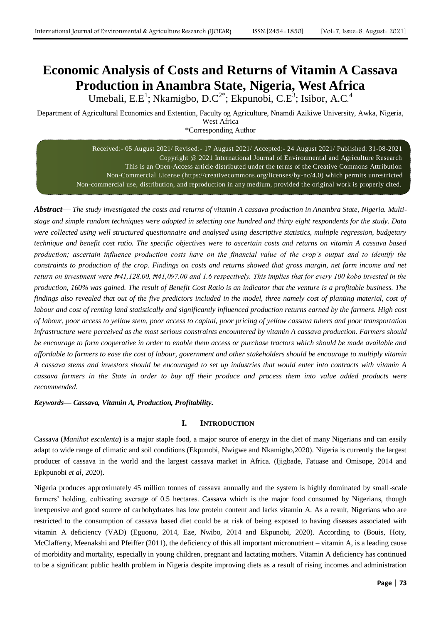# **Economic Analysis of Costs and Returns of Vitamin A Cassava Production in Anambra State, Nigeria, West Africa**

Umebali, E.E<sup>1</sup>; Nkamigbo, D.C<sup>2\*</sup>; Ekpunobi, C.E<sup>3</sup>; Isibor, A.C.<sup>4</sup>

Department of Agricultural Economics and Extention, Faculty og Agriculture, Nnamdi Azikiwe University, Awka, Nigeria, West Africa \*Corresponding Author

> Received:- 05 August 2021/ Revised:- 17 August 2021/ Accepted:- 24 August 2021/ Published: 31-08-2021 Copyright @ 2021 International Journal of Environmental and Agriculture Research This is an Open-Access article distributed under the terms of the Creative Commons Attribution Non-Commercial License (https://creativecommons.org/licenses/by-nc/4.0) which permits unrestricted Non-commercial use, distribution, and reproduction in any medium, provided the original work is properly cited.

*Abstract***—** *The study investigated the costs and returns of vitamin A cassava production in Anambra State, Nigeria. Multistage and simple random techniques were adopted in selecting one hundred and thirty eight respondents for the study. Data were collected using well structured questionnaire and analysed using descriptive statistics, multiple regression, budgetary technique and benefit cost ratio. The specific objectives were to ascertain costs and returns on vitamin A cassava based*  production; ascertain influence production costs have on the financial value of the crop's output and to identify the *constraints to production of the crop. Findings on costs and returns showed that gross margin, net farm income and net return on investment were ₦41,128.00, ₦41,097.00 and 1.6 respectively. This implies that for every 100 kobo invested in the production, 160% was gained. The result of Benefit Cost Ratio is an indicator that the venture is a profitable business. The findings also revealed that out of the five predictors included in the model, three namely cost of planting material, cost of* labour and cost of renting land statistically and significantly influenced production returns earned by the farmers. High cost *of labour, poor access to yellow stem, poor access to capital, poor pricing of yellow cassava tubers and poor transportation infrastructure were perceived as the most serious constraints encountered by vitamin A cassava production. Farmers should be encourage to form cooperative in order to enable them access or purchase tractors which should be made available and affordable to farmers to ease the cost of labour, government and other stakeholders should be encourage to multiply vitamin A cassava stems and investors should be encouraged to set up industries that would enter into contracts with vitamin A cassava farmers in the State in order to buy off their produce and process them into value added products were recommended.*

*Keywords— Cassava, Vitamin A, Production, Profitability.*

# **I. INTRODUCTION**

Cassava (*Manihot esculenta***)** is a major staple food, a major source of energy in the diet of many Nigerians and can easily adapt to wide range of climatic and soil conditions (Ekpunobi, Nwigwe and Nkamigbo,2020). Nigeria is currently the largest producer of cassava in the world and the largest cassava market in Africa. (Ijigbade, Fatuase and Omisope, 2014 and Epkpunobi *et al*, 2020).

Nigeria produces approximately 45 million tonnes of cassava annually and the system is highly dominated by small-scale farmers' holding, cultivating average of 0.5 hectares. Cassava which is the major food consumed by Nigerians, though inexpensive and good source of carbohydrates has low protein content and lacks vitamin A. As a result, Nigerians who are restricted to the consumption of cassava based diet could be at risk of being exposed to having diseases associated with vitamin A deficiency (VAD) (Eguonu, 2014, Eze, Nwibo, 2014 and Ekpunobi, 2020). According to (Bouis, Hoty, McClafferty, Meenakshi and Pfeiffer (2011), the deficiency of this all important micronutrient – vitamin A, is a leading cause of morbidity and mortality, especially in young children, pregnant and lactating mothers. Vitamin A deficiency has continued to be a significant public health problem in Nigeria despite improving diets as a result of rising incomes and administration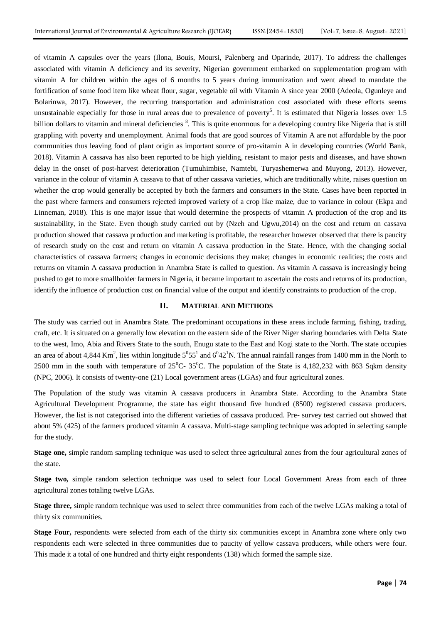of vitamin A capsules over the years (Ilona, Bouis, Moursi, Palenberg and Oparinde, 2017). To address the challenges associated with vitamin A deficiency and its severity, Nigerian government embarked on supplementation program with vitamin A for children within the ages of 6 months to 5 years during immunization and went ahead to mandate the fortification of some food item like wheat flour, sugar, vegetable oil with Vitamin A since year 2000 (Adeola, Ogunleye and Bolarinwa, 2017). However, the recurring transportation and administration cost associated with these efforts seems unsustainable especially for those in rural areas due to prevalence of poverty<sup>5</sup>. It is estimated that Nigeria losses over  $1.5$ billion dollars to vitamin and mineral deficiencies <sup>8</sup>. This is quite enormous for a developing country like Nigeria that is still grappling with poverty and unemployment. Animal foods that are good sources of Vitamin A are not affordable by the poor communities thus leaving food of plant origin as important source of pro-vitamin A in developing countries (World Bank, 2018). Vitamin A cassava has also been reported to be high yielding, resistant to major pests and diseases, and have shown delay in the onset of post-harvest deterioration (Tumuhimbise, Namtebi, Turyashemerwa and Muyong, 2013). However, variance in the colour of vitamin A cassava to that of other cassava varieties, which are traditionally white, raises question on whether the crop would generally be accepted by both the farmers and consumers in the State. Cases have been reported in the past where farmers and consumers rejected improved variety of a crop like maize, due to variance in colour (Ekpa and Linneman, 2018). This is one major issue that would determine the prospects of vitamin A production of the crop and its sustainability, in the State. Even though study carried out by (Nzeh and Ugwu,2014) on the cost and return on cassava production showed that cassava production and marketing is profitable, the researcher however observed that there is paucity of research study on the cost and return on vitamin A cassava production in the State. Hence, with the changing social characteristics of cassava farmers; changes in economic decisions they make; changes in economic realities; the costs and returns on vitamin A cassava production in Anambra State is called to question. As vitamin A cassava is increasingly being pushed to get to more smallholder farmers in Nigeria, it became important to ascertain the costs and returns of its production, identify the influence of production cost on financial value of the output and identify constraints to production of the crop.

#### **II. MATERIAL AND METHODS**

The study was carried out in Anambra State. The predominant occupations in these areas include farming, fishing, trading, craft, etc. It is situated on a generally low elevation on the eastern side of the River Niger sharing boundaries with Delta State to the west, Imo, Abia and Rivers State to the south, Enugu state to the East and Kogi state to the North. The state occupies an area of about 4,844 Km<sup>2</sup>, lies within longitude  $5^0 55^1$  and  $6^0 42^1$ N. The annual rainfall ranges from 1400 mm in the North to 2500 mm in the south with temperature of  $25^{\circ}$ C-  $35^{\circ}$ C. The population of the State is 4,182,232 with 863 Sqkm density (NPC, 2006). It consists of twenty-one (21) Local government areas (LGAs) and four agricultural zones.

The Population of the study was vitamin A cassava producers in Anambra State. According to the Anambra State Agricultural Development Programme, the state has eight thousand five hundred (8500) registered cassava producers. However, the list is not categorised into the different varieties of cassava produced. Pre- survey test carried out showed that about 5% (425) of the farmers produced vitamin A cassava. Multi-stage sampling technique was adopted in selecting sample for the study.

**Stage one,** simple random sampling technique was used to select three agricultural zones from the four agricultural zones of the state.

**Stage two,** simple random selection technique was used to select four Local Government Areas from each of three agricultural zones totaling twelve LGAs.

**Stage three,** simple random technique was used to select three communities from each of the twelve LGAs making a total of thirty six communities.

**Stage Four,** respondents were selected from each of the thirty six communities except in Anambra zone where only two respondents each were selected in three communities due to paucity of yellow cassava producers, while others were four. This made it a total of one hundred and thirty eight respondents (138) which formed the sample size.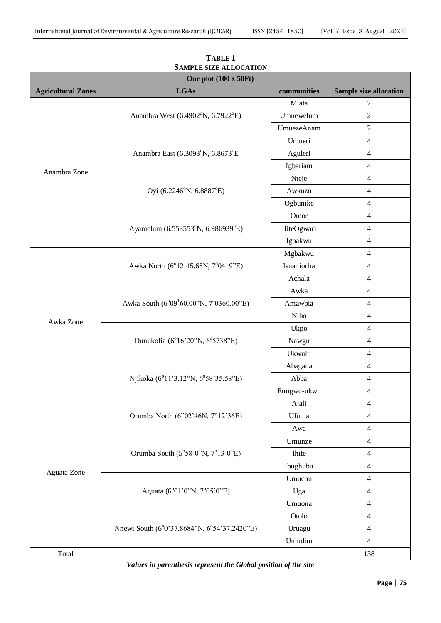| One plot (100 x 50Ft)     |                                                     |             |                               |  |
|---------------------------|-----------------------------------------------------|-------------|-------------------------------|--|
| <b>Agricultural Zones</b> | <b>LGAs</b>                                         | communities | <b>Sample size allocation</b> |  |
|                           |                                                     | Miata       | $\overline{c}$                |  |
|                           | Anambra West (6.4902°N, 6.7922°E)                   | Umuewelum   | $\sqrt{2}$                    |  |
|                           |                                                     | UmuezeAnam  | $\overline{2}$                |  |
|                           |                                                     | Umueri      | 4                             |  |
|                           | Anambra East (6.3093°N, 6.8673°E                    | Aguleri     | $\overline{\mathcal{L}}$      |  |
| Anambra Zone              |                                                     | Igbariam    | $\overline{\mathcal{L}}$      |  |
|                           |                                                     | Nteje       | $\overline{\mathcal{L}}$      |  |
|                           | Oyi (6.2246°N, 6.8887°E)                            | Awkuzu      | $\overline{4}$                |  |
|                           |                                                     | Ogbunike    | 4                             |  |
|                           |                                                     | Omor        | $\overline{\mathcal{L}}$      |  |
|                           | Ayamelum (6.553553°N, 6.986939°E)                   | IfiteOgwari | $\overline{\mathcal{L}}$      |  |
|                           |                                                     | Igbakwu     | 4                             |  |
|                           |                                                     | Mgbakwu     | 4                             |  |
|                           | Awka North (6°12 <sup>1</sup> 45.68N, 7°0419"E)     | Isuaniocha  | 4                             |  |
|                           |                                                     | Achala      | 4                             |  |
|                           |                                                     | Awka        | $\overline{\mathcal{L}}$      |  |
|                           | Awka South (6°09 <sup>1</sup> 60.00"N, 7°0360.00"E) | Amawbia     | $\overline{\mathcal{L}}$      |  |
| Awka Zone                 |                                                     | Nibo        | $\overline{\mathcal{L}}$      |  |
|                           | Dunukofia (6°16'20"N, 6°5738"E)                     | Ukpo        | $\overline{4}$                |  |
|                           |                                                     | Nawgu       | 4                             |  |
|                           |                                                     | Ukwulu      | $\overline{\mathcal{L}}$      |  |
|                           |                                                     | Abagana     | $\overline{\mathbf{4}}$       |  |
|                           | Njikoka (6°11'3.12"N, 6°58'35.58"E)                 | Abba        | 4                             |  |
|                           |                                                     | Enugwu-ukwu | $\overline{\mathcal{L}}$      |  |
|                           |                                                     | Ajali       | 4                             |  |
|                           | Orumba North (6"02'46N, 7"12'36E)                   | Ufuma       | 4                             |  |
|                           |                                                     | Awa         | 4                             |  |
|                           |                                                     | Umunze      | $\overline{\mathcal{A}}$      |  |
|                           | Orumba South $(5^{\circ}58'0''N, 7^{\circ}13'0''E)$ | Ihite       | 4                             |  |
| Aguata Zone               |                                                     | Ibughubu    | $\overline{4}$                |  |
|                           | Aguata (6°01'0"N, 7°05'0"E)                         | Umuchu      | $\overline{4}$                |  |
|                           |                                                     | Uga         | $\overline{\mathcal{L}}$      |  |
|                           |                                                     | Umuona      | $\overline{\mathbf{4}}$       |  |
|                           | Nnewi South (6°0'37.8684"N, 6°54'37.2420"E)         | Otolo       | 4                             |  |
|                           |                                                     | Uruagu      | 4                             |  |
|                           |                                                     | Umudim      | 4                             |  |
| Total                     |                                                     |             | 138                           |  |

**TABLE 1 SAMPLE SIZE ALLOCATION**

*Values in parenthesis represent the Global position of the site*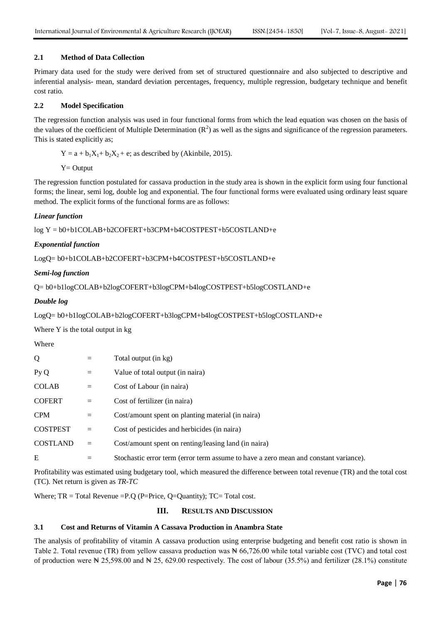# **2.1 Method of Data Collection**

Primary data used for the study were derived from set of structured questionnaire and also subjected to descriptive and inferential analysis- mean, standard deviation percentages, frequency, multiple regression, budgetary technique and benefit cost ratio.

# **2.2 Model Specification**

The regression function analysis was used in four functional forms from which the lead equation was chosen on the basis of the values of the coefficient of Multiple Determination  $(R^2)$  as well as the signs and significance of the regression parameters. This is stated explicitly as;

 $Y = a + b_1X_1 + b_2X_2 + e$ ; as described by (Akinbile, 2015).

 $Y =$  Output

The regression function postulated for cassava production in the study area is shown in the explicit form using four functional forms; the linear, semi log, double log and exponential. The four functional forms were evaluated using ordinary least square method. The explicit forms of the functional forms are as follows:

# *Linear function*

log Y = b0+b1COLAB+b2COFERT+b3CPM+b4COSTPEST+b5COSTLAND+e

# *Exponential function*

LogQ= b0+b1COLAB+b2COFERT+b3CPM+b4COSTPEST+b5COSTLAND+e

#### *Semi-log function*

Q= b0+b1logCOLAB+b2logCOFERT+b3logCPM+b4logCOSTPEST+b5logCOSTLAND+e

# *Double log*

LogQ= b0+b1logCOLAB+b2logCOFERT+b3logCPM+b4logCOSTPEST+b5logCOSTLAND+e

Where Y is the total output in kg

|--|--|

| Q               |     | Total output (in kg)                                                                 |
|-----------------|-----|--------------------------------------------------------------------------------------|
| Py Q            | $=$ | Value of total output (in naira)                                                     |
| <b>COLAB</b>    | $=$ | Cost of Labour (in naira)                                                            |
| <b>COFERT</b>   | $=$ | Cost of fertilizer (in naira)                                                        |
| <b>CPM</b>      | $=$ | Cost/amount spent on planting material (in naira)                                    |
| <b>COSTPEST</b> | $=$ | Cost of pesticides and herbicides (in naira)                                         |
| <b>COSTLAND</b> | $=$ | Cost/amount spent on renting/leasing land (in naira)                                 |
| E               | $=$ | Stochastic error term (error term assume to have a zero mean and constant variance). |

Profitability was estimated using budgetary tool, which measured the difference between total revenue (TR) and the total cost (TC). Net return is given as *TR-TC*

Where;  $TR = Total Revenue = P.Q$  (P=Price, Q=Quantity);  $TC = Total cost$ .

# **III. RESULTS AND DISCUSSION**

#### **3.1 Cost and Returns of Vitamin A Cassava Production in Anambra State**

The analysis of profitability of vitamin A cassava production using enterprise budgeting and benefit cost ratio is shown in Table 2. Total revenue (TR) from yellow cassava production was  $\mathbb{N}$  66,726.00 while total variable cost (TVC) and total cost of production were  $\mathbb{N}$  25,598.00 and  $\mathbb{N}$  25, 629.00 respectively. The cost of labour (35.5%) and fertilizer (28.1%) constitute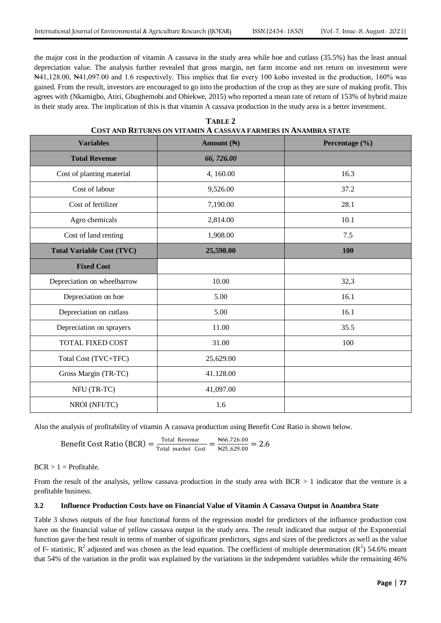the major cost in the production of vitamin A cassava in the study area while hoe and cutlass (35.5%) has the least annual depreciation value. The analysis further revealed that gross margin, net farm income and net return on investment were ₦41,128.00, ₦41,097.00 and 1.6 respectively. This implies that for every 100 kobo invested in the production, 160% was gained. From the result, investors are encouraged to go into the production of the crop as they are sure of making profit. This agrees with (Nkamigbo, Atiri, Gbughemobi and Obiekwe, 2015) who reported a mean rate of return of 153% of hybrid maize in their study area. The implication of this is that vitamin A cassava production in the study area is a better investment.

| <b>Variables</b>                 | Amount $(\mathbb{N})$ | Percentage (%) |
|----------------------------------|-----------------------|----------------|
| <b>Total Revenue</b>             | 66,726.00             |                |
| Cost of planting material        | 4,160.00              | 16.3           |
| Cost of labour                   | 9,526.00              | 37.2           |
| Cost of fertilizer               | 7,190.00              | 28.1           |
| Agro chemicals                   | 2,814.00              | 10.1           |
| Cost of land renting             | 1,908.00              | 7.5            |
| <b>Total Variable Cost (TVC)</b> | 25,598.00             | <b>100</b>     |
| <b>Fixed Cost</b>                |                       |                |
| Depreciation on wheelbarrow      | 10.00                 | 32,3           |
| Depreciation on hoe              | 5.00                  | 16.1           |
| Depreciation on cutlass          | 5.00                  | 16.1           |
| Depreciation on sprayers         | 11.00                 | 35.5           |
| <b>TOTAL FIXED COST</b>          | 31.00                 | 100            |
| Total Cost (TVC+TFC)             | 25,629.00             |                |
| Gross Margin (TR-TC)             | 41.128.00             |                |
| NFU (TR-TC)                      | 41,097.00             |                |
| NROI (NFI/TC)                    | 1.6                   |                |

**TABLE 2 COST AND RETURNS ON VITAMIN A CASSAVA FARMERS IN ANAMBRA STATE**

Also the analysis of profitability of vitamin A cassava production using Benefit Cost Ratio is shown below.

Benefit Cost Ratio (BCR) =  $\frac{\text{Total Revenue}}{\text{Total market}}$  $\frac{\text{Total Revenue}}{\text{Total market Cost}} = \frac{\text{N66,726.00}}{\text{N25,629.00}}$  $\frac{1400,720.00}{1425,629.00}$  = 2.6

 $BCR > 1 =$  Profitable.

From the result of the analysis, yellow cassava production in the study area with  $BCR > 1$  indicator that the venture is a profitable business.

#### **3.2 Influence Production Costs have on Financial Value of Vitamin A Cassava Output in Anambra State**

Table 3 shows outputs of the four functional forms of the regression model for predictors of the influence production cost have on the financial value of yellow cassava output in the study area. The result indicated that output of the Exponential function gave the best result in terms of number of significant predictors, signs and sizes of the predictors as well as the value of F- statistic,  $R^2$  adjusted and was chosen as the lead equation. The coefficient of multiple determination  $(R^2)$  54.6% meant that 54% of the variation in the profit was explained by the variations in the independent variables while the remaining 46%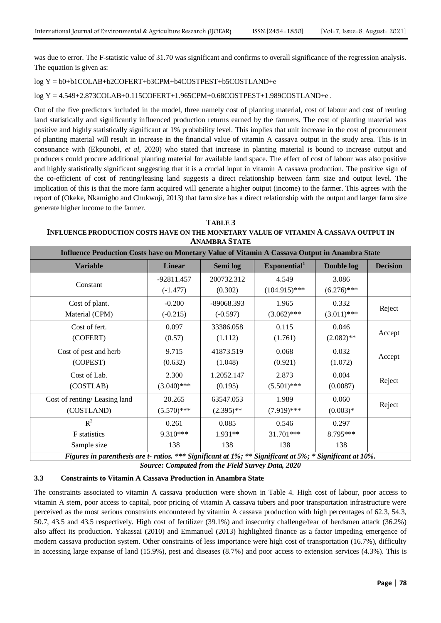was due to error. The F-statistic value of 31.70 was significant and confirms to overall significance of the regression analysis. The equation is given as:

# log Y = b0+b1COLAB+b2COFERT+b3CPM+b4COSTPEST+b5COSTLAND+e

log Y = 4.549+2.873COLAB+0.115COFERT+1.965CPM+0.68COSTPEST+1.989COSTLAND+e .

Out of the five predictors included in the model, three namely cost of planting material, cost of labour and cost of renting land statistically and significantly influenced production returns earned by the farmers. The cost of planting material was positive and highly statistically significant at 1% probability level. This implies that unit increase in the cost of procurement of planting material will result in increase in the financial value of vitamin A cassava output in the study area. This is in consonance with (Ekpunobi, *et al*, 2020) who stated that increase in planting material is bound to increase output and producers could procure additional planting material for available land space. The effect of cost of labour was also positive and highly statistically significant suggesting that it is a crucial input in vitamin A cassava production. The positive sign of the co-efficient of cost of renting/leasing land suggests a direct relationship between farm size and output level. The implication of this is that the more farm acquired will generate a higher output (income) to the farmer. This agrees with the report of (Okeke, Nkamigbo and Chukwuji, 2013) that farm size has a direct relationship with the output and larger farm size generate higher income to the farmer.

**TABLE 3 INFLUENCE PRODUCTION COSTS HAVE ON THE MONETARY VALUE OF VITAMIN A CASSAVA OUTPUT IN ANAMBRA STATE**

| Influence Production Costs have on Monetary Value of Vitamin A Cassava Output in Anambra State           |               |              |                          |               |                 |  |
|----------------------------------------------------------------------------------------------------------|---------------|--------------|--------------------------|---------------|-----------------|--|
| <b>Variable</b>                                                                                          | <b>Linear</b> | Semi log     | Exponential <sup>1</sup> | Double log    | <b>Decision</b> |  |
| Constant                                                                                                 | $-92811.457$  | 200732.312   | 4.549                    | 3.086         |                 |  |
|                                                                                                          | $(-1.477)$    | (0.302)      | $(104.915)$ ***          | $(6.276)$ *** |                 |  |
| Cost of plant.                                                                                           | $-0.200$      | $-89068.393$ | 1.965                    | 0.332         |                 |  |
| Material (CPM)                                                                                           | $(-0.215)$    | $(-0.597)$   | $(3.062)$ ***            | $(3.011)$ *** | Reject          |  |
| Cost of fert.                                                                                            | 0.097         | 33386.058    | 0.115                    | 0.046         |                 |  |
| (COFERT)                                                                                                 | (0.57)        | (1.112)      | (1.761)                  | $(2.082)$ **  | Accept          |  |
| Cost of pest and herb                                                                                    | 9.715         | 41873.519    | 0.068                    | 0.032         |                 |  |
| (COPEST)                                                                                                 | (0.632)       | (1.048)      | (0.921)                  | (1.072)       | Accept          |  |
| Cost of Lab.                                                                                             | 2.300         | 1.2052.147   | 2.873                    | 0.004         |                 |  |
| (COSTLAB)                                                                                                | $(3.040)$ *** | (0.195)      | $(5.501)$ ***            | (0.0087)      | Reject          |  |
| Cost of renting/Leasing land                                                                             | 20.265        | 63547.053    | 1.989                    | 0.060         |                 |  |
| (COSTLAND)                                                                                               | $(5.570)$ *** | $(2.395)$ ** | $(7.919)$ ***            | $(0.003)*$    | Reject          |  |
| $R^2$                                                                                                    | 0.261         | 0.085        | 0.546                    | 0.297         |                 |  |
| F statistics                                                                                             | 9.310***      | 1.931**      | 31.701***                | 8.795***      |                 |  |
| Sample size                                                                                              | 138           | 138          | 138                      | 138           |                 |  |
| Figures in parenthesis are t- ratios. *** Significant at 1%; ** Significant at 5%; * Significant at 10%. |               |              |                          |               |                 |  |

*Source: Computed from the Field Survey Data, 2020*

# **3.3 Constraints to Vitamin A Cassava Production in Anambra State**

The constraints associated to vitamin A cassava production were shown in Table 4. High cost of labour, poor access to vitamin A stem, poor access to capital, poor pricing of vitamin A cassava tubers and poor transportation infrastructure were perceived as the most serious constraints encountered by vitamin A cassava production with high percentages of 62.3, 54.3, 50.7, 43.5 and 43.5 respectively. High cost of fertilizer (39.1%) and insecurity challenge/fear of herdsmen attack (36.2%) also affect its production. Yakassai (2010) and Emmanuel (2013) highlighted finance as a factor impeding emergence of modern cassava production system. Other constraints of less importance were high cost of transportation (16.7%), difficulty in accessing large expanse of land (15.9%), pest and diseases (8.7%) and poor access to extension services (4.3%). This is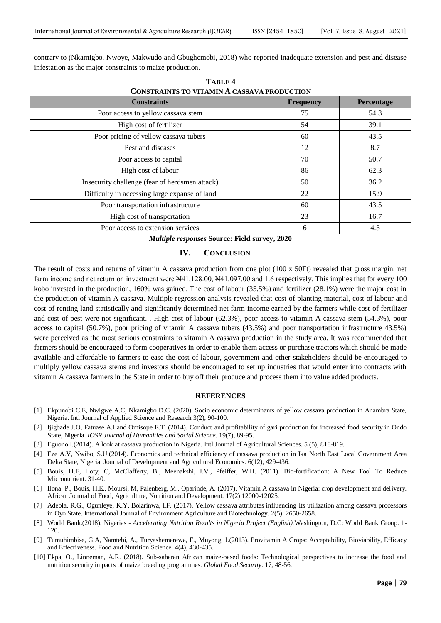contrary to (Nkamigbo, Nwoye, Makwudo and Gbughemobi, 2018) who reported inadequate extension and pest and disease infestation as the major constraints to maize production.

| <b>Constraints</b>                             | <b>Frequency</b> | Percentage |
|------------------------------------------------|------------------|------------|
| Poor access to yellow cassava stem             | 75               | 54.3       |
| High cost of fertilizer                        | 54               | 39.1       |
| Poor pricing of yellow cassava tubers          | 60               | 43.5       |
| Pest and diseases                              | 12               | 8.7        |
| Poor access to capital                         | 70               | 50.7       |
| High cost of labour                            | 86               | 62.3       |
| Insecurity challenge (fear of herdsmen attack) | 50               | 36.2       |
| Difficulty in accessing large expanse of land  | 22               | 15.9       |
| Poor transportation infrastructure             | 60               | 43.5       |
| High cost of transportation                    | 23               | 16.7       |
| Poor access to extension services              | 6                | 4.3        |

**TABLE 4**

*Multiple responses* **Source: Field survey, 2020**

#### **IV. CONCLUSION**

The result of costs and returns of vitamin A cassava production from one plot (100 x 50Ft) revealed that gross margin, net farm income and net return on investment were N41,128.00, N41,097.00 and 1.6 respectively. This implies that for every 100 kobo invested in the production, 160% was gained. The cost of labour (35.5%) and fertilizer (28.1%) were the major cost in the production of vitamin A cassava. Multiple regression analysis revealed that cost of planting material, cost of labour and cost of renting land statistically and significantly determined net farm income earned by the farmers while cost of fertilizer and cost of pest were not significant. . High cost of labour (62.3%), poor access to vitamin A cassava stem (54.3%), poor access to capital (50.7%), poor pricing of vitamin A cassava tubers (43.5%) and poor transportation infrastructure 43.5%) were perceived as the most serious constraints to vitamin A cassava production in the study area. It was recommended that farmers should be encouraged to form cooperatives in order to enable them access or purchase tractors which should be made available and affordable to farmers to ease the cost of labour, government and other stakeholders should be encouraged to multiply yellow cassava stems and investors should be encouraged to set up industries that would enter into contracts with vitamin A cassava farmers in the State in order to buy off their produce and process them into value added products.

#### **REFERENCES**

- [1] Ekpunobi C.E, Nwigwe A.C, Nkamigbo D.C. (2020). Socio economic determinants of yellow cassava production in Anambra State, Nigeria. Intl Journal of Applied Science and Research 3(2), 90-100.
- [2] Ijigbade J.O, Fatuase A.I and Omisope E.T. (2014). Conduct and profitability of gari production for increased food security in Ondo State, Nigeria. *IOSR Journal of Humanities and Social Science*. 19(7), 89-95.
- [3] Eguono I.(2014). A look at cassava production in Nigeria. Intl Journal of Agricultural Sciences. 5 (5), 818-819.
- [4] Eze A.V, Nwibo, S.U.(2014). Economics and technical efficiency of cassava production in Ika North East Local Government Area Delta State, Nigeria*.* Journal of Development and Agricultural Economics. 6(12), 429-436.
- [5] Bouis, H.E, Hoty, C, McClafferty, B., Meenakshi, J.V., Pfeiffer, W.H. (2011). Bio-fortification: A New Tool To Reduce Micronutrient. 31-40.
- [6] Ilona. P., Bouis, H.E., Moursi, M, Palenberg, M., Oparinde, A. (2017). Vitamin A cassava in Nigeria: crop development and delivery. African Journal of Food, Agriculture, Nutrition and Development. 17(2):12000-12025.
- [7] Adeola, R.G., Ogunleye, K.Y, Bolarinwa, I.F. (2017). Yellow cassava attributes influencing Its utilization among cassava processors in Oyo State. International Journal of Environment Agriculture and Biotechnology. 2(5): 2650-2658.
- [8] World Bank.(2018). Nigerias *Accelerating Nutrition Results in Nigeria Project (English).*Washington, D.C: World Bank Group. 1- 120.
- [9] Tumuhimbise, G.A, Namtebi, A., Turyashemerewa, F., Muyong, J.(2013). Provitamin A Crops: Acceptability, Bioviability, Efficacy and Effectiveness. Food and Nutrition Science. 4(4), 430-435.
- [10] Ekpa, O., Linneman, A.R. (2018). Sub-saharan African maize-based foods: Technological perspectives to increase the food and nutrition security impacts of maize breeding programmes. *Global Food Security*. 17, 48-56.